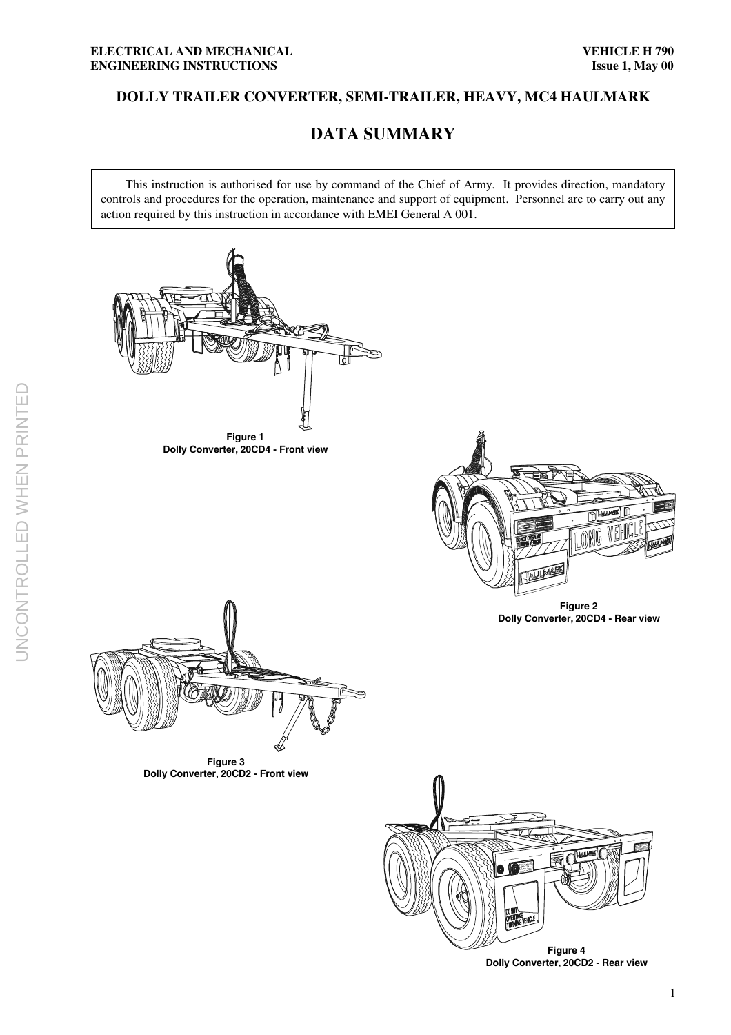# **DOLLY TRAILER CONVERTER, SEMI-TRAILER, HEAVY, MC4 HAULMARK**

# **DATA SUMMARY**

This instruction is authorised for use by command of the Chief of Army. It provides direction, mandatory controls and procedures for the operation, maintenance and support of equipment. Personnel are to carry out any action required by this instruction in accordance with EMEI General A 001.



**Figure 4 Dolly Converter, 20CD2 - Rear view**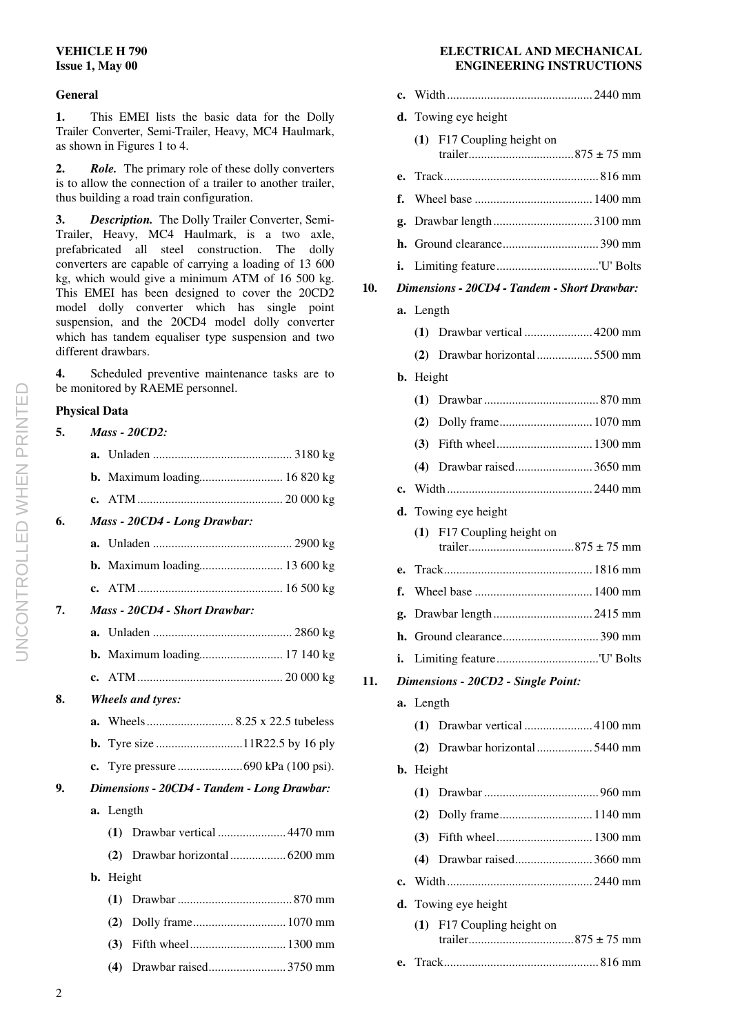### **General**

**1.** This EMEI lists the basic data for the Dolly Trailer Converter, Semi-Trailer, Heavy, MC4 Haulmark, as shown in Figures 1 to 4.

**2.** *Role.* The primary role of these dolly converters is to allow the connection of a trailer to another trailer, thus building a road train configuration.

**3.** *Description.* The Dolly Trailer Converter, Semi-Trailer, Heavy, MC4 Haulmark, is a two axle, prefabricated all steel construction. The dolly converters are capable of carrying a loading of 13 600 kg, which would give a minimum ATM of 16 500 kg. This EMEI has been designed to cover the 20CD2 model dolly converter which has single point suspension, and the 20CD4 model dolly converter which has tandem equaliser type suspension and two different drawbars.

**4.** Scheduled preventive maintenance tasks are to be monitored by RAEME personnel.

### **Physical Data**

| 5. |    | <b>Mass - 20CD2:</b>                        |  |  |  |  |
|----|----|---------------------------------------------|--|--|--|--|
|    | a. |                                             |  |  |  |  |
|    |    |                                             |  |  |  |  |
|    |    |                                             |  |  |  |  |
| 6. |    | Mass - 20CD4 - Long Drawbar:                |  |  |  |  |
|    |    |                                             |  |  |  |  |
|    |    |                                             |  |  |  |  |
|    |    |                                             |  |  |  |  |
| 7. |    | Mass - 20CD4 - Short Drawbar:               |  |  |  |  |
|    | a. |                                             |  |  |  |  |
|    |    | <b>b.</b> Maximum loading 17 140 kg         |  |  |  |  |
|    |    |                                             |  |  |  |  |
| 8. |    | <b>Wheels and tyres:</b>                    |  |  |  |  |
|    | a. |                                             |  |  |  |  |
|    |    |                                             |  |  |  |  |
|    |    |                                             |  |  |  |  |
| 9. |    | Dimensions - 20CD4 - Tandem - Long Drawbar: |  |  |  |  |
|    |    | a. Length                                   |  |  |  |  |
|    |    |                                             |  |  |  |  |
|    |    |                                             |  |  |  |  |
|    |    | <b>b.</b> Height                            |  |  |  |  |
|    |    | (1)                                         |  |  |  |  |
|    |    | (2)                                         |  |  |  |  |
|    |    | (3)                                         |  |  |  |  |
|    |    |                                             |  |  |  |  |
|    |    |                                             |  |  |  |  |

### **VEHICLE H 790 ELECTRICAL AND MECHANICAL Issue 1, May 00 ENGINEERING INSTRUCTIONS**

|     | c. |                                              |
|-----|----|----------------------------------------------|
|     | d. | Towing eye height                            |
|     |    | (1)<br>F17 Coupling height on                |
|     |    |                                              |
|     | e. |                                              |
|     | f. |                                              |
|     | g. |                                              |
|     | h. |                                              |
|     | i. |                                              |
| 10. |    | Dimensions - 20CD4 - Tandem - Short Drawbar: |
|     |    | a. Length                                    |
|     |    | Drawbar vertical  4200 mm<br>(1)             |
|     |    | Drawbar horizontal5500 mm<br>(2)             |
|     |    | <b>b.</b> Height                             |
|     |    | (1)                                          |
|     |    | (2)                                          |
|     |    | (3)                                          |
|     |    | Drawbar raised3650 mm<br>(4)                 |
|     | c. |                                              |
|     | d. | Towing eye height                            |
|     |    | F17 Coupling height on<br>(1)                |
|     |    |                                              |
|     | e. |                                              |
|     | f. |                                              |
|     | g. | Drawbar length  2415 mm                      |
|     |    |                                              |
|     | i. |                                              |
| 11. |    | Dimensions - 20CD2 - Single Point:           |
|     |    | a. Length                                    |
|     |    | Drawbar vertical  4100 mm<br>(1)             |
|     |    | (2) Drawbar horizontal 5440 mm               |
|     |    | <b>b.</b> Height                             |
|     |    | (1)                                          |
|     |    | (2)                                          |
|     |    |                                              |
|     |    | Drawbar raised3660 mm<br>(4)                 |
|     | c. |                                              |
|     | d. | Towing eye height                            |
|     |    | F17 Coupling height on<br>(1)                |
|     |    |                                              |
|     |    |                                              |

# UNCONTROLLED WHEN PRINTED UNCONTROLLED WHEN PRINTED